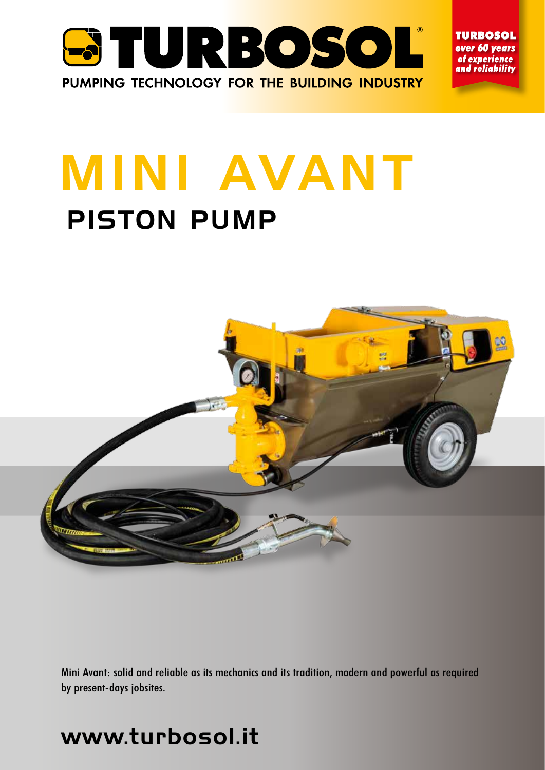

**TURBOSOL** over 60 years of experience and reliability

# MINI AVANT PISTON PUMP



Mini Avant: solid and reliable as its mechanics and its tradition, modern and powerful as required by present-days jobsites.

# www.turbosol.it